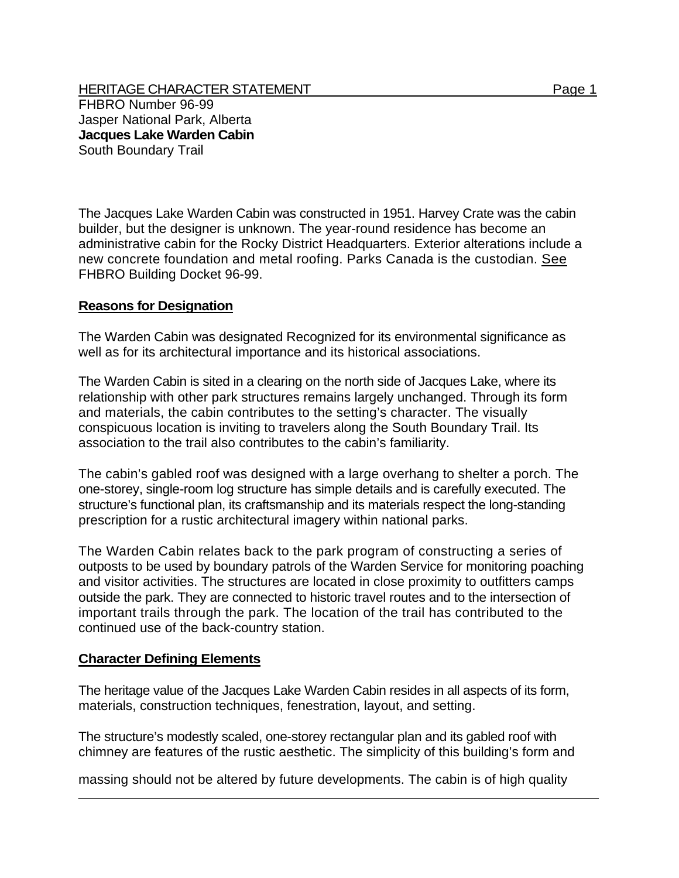HERITAGE CHARACTER STATEMENT FRIELD FOR A STATEMENT AND RAGE 1 FHBRO Number 96-99 Jasper National Park, Alberta **Jacques Lake Warden Cabin**  South Boundary Trail

The Jacques Lake Warden Cabin was constructed in 1951. Harvey Crate was the cabin builder, but the designer is unknown. The year-round residence has become an administrative cabin for the Rocky District Headquarters. Exterior alterations include a new concrete foundation and metal roofing. Parks Canada is the custodian. See FHBRO Building Docket 96-99.

## **Reasons for Designation**

The Warden Cabin was designated Recognized for its environmental significance as well as for its architectural importance and its historical associations.

The Warden Cabin is sited in a clearing on the north side of Jacques Lake, where its relationship with other park structures remains largely unchanged. Through its form and materials, the cabin contributes to the setting's character. The visually conspicuous location is inviting to travelers along the South Boundary Trail. Its association to the trail also contributes to the cabin's familiarity.

The cabin's gabled roof was designed with a large overhang to shelter a porch. The one-storey, single-room log structure has simple details and is carefully executed. The structure's functional plan, its craftsmanship and its materials respect the long-standing prescription for a rustic architectural imagery within national parks.

The Warden Cabin relates back to the park program of constructing a series of outposts to be used by boundary patrols of the Warden Service for monitoring poaching and visitor activities. The structures are located in close proximity to outfitters camps outside the park. They are connected to historic travel routes and to the intersection of important trails through the park. The location of the trail has contributed to the continued use of the back-country station.

## **Character Defining Elements**

The heritage value of the Jacques Lake Warden Cabin resides in all aspects of its form, materials, construction techniques, fenestration, layout, and setting.

The structure's modestly scaled, one-storey rectangular plan and its gabled roof with chimney are features of the rustic aesthetic. The simplicity of this building's form and

massing should not be altered by future developments. The cabin is of high quality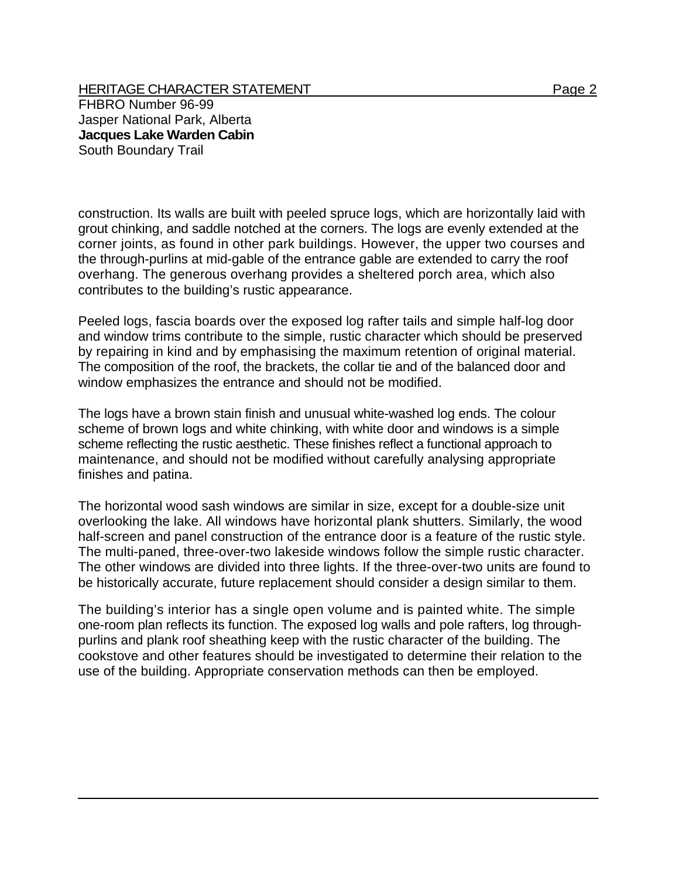HERITAGE CHARACTER STATEMENT FRIELD FOR A STATEMENT AND RAGE 2 FHBRO Number 96-99 Jasper National Park, Alberta **Jacques Lake Warden Cabin**  South Boundary Trail

construction. Its walls are built with peeled spruce logs, which are horizontally laid with grout chinking, and saddle notched at the corners. The logs are evenly extended at the corner joints, as found in other park buildings. However, the upper two courses and the through-purlins at mid-gable of the entrance gable are extended to carry the roof overhang. The generous overhang provides a sheltered porch area, which also contributes to the building's rustic appearance.

Peeled logs, fascia boards over the exposed log rafter tails and simple half-log door and window trims contribute to the simple, rustic character which should be preserved by repairing in kind and by emphasising the maximum retention of original material. The composition of the roof, the brackets, the collar tie and of the balanced door and window emphasizes the entrance and should not be modified.

The logs have a brown stain finish and unusual white-washed log ends. The colour scheme of brown logs and white chinking, with white door and windows is a simple scheme reflecting the rustic aesthetic. These finishes reflect a functional approach to maintenance, and should not be modified without carefully analysing appropriate finishes and patina.

The horizontal wood sash windows are similar in size, except for a double-size unit overlooking the lake. All windows have horizontal plank shutters. Similarly, the wood half-screen and panel construction of the entrance door is a feature of the rustic style. The multi-paned, three-over-two lakeside windows follow the simple rustic character. The other windows are divided into three lights. If the three-over-two units are found to be historically accurate, future replacement should consider a design similar to them.

The building's interior has a single open volume and is painted white. The simple one-room plan reflects its function. The exposed log walls and pole rafters, log throughpurlins and plank roof sheathing keep with the rustic character of the building. The cookstove and other features should be investigated to determine their relation to the use of the building. Appropriate conservation methods can then be employed.